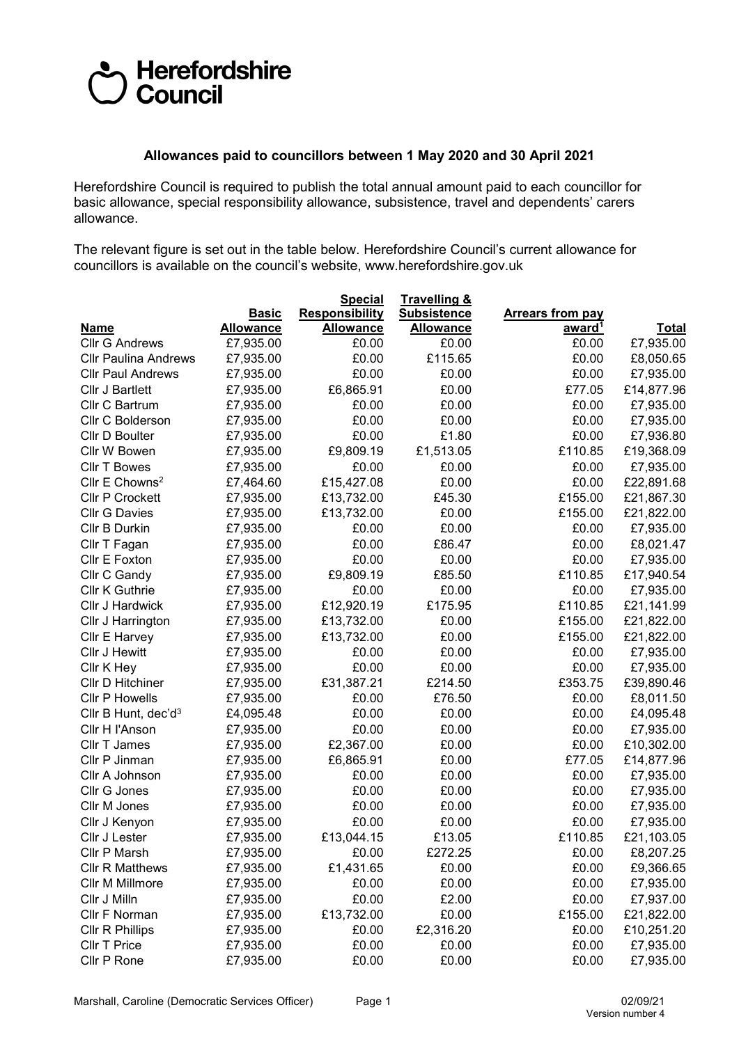## Herefordshire<br>DCouncil

## **Allowances paid to councillors between 1 May 2020 and 30 April 2021**

Herefordshire Council is required to publish the total annual amount paid to each councillor for basic allowance, special responsibility allowance, subsistence, travel and dependents' carers allowance.

The relevant figure is set out in the table below. Herefordshire Council's current allowance for councillors is available on the council's website, www.herefordshire.gov.uk

|                                 |                  | <u>Special</u>        | <u>Travelling &amp;</u> |                         |              |
|---------------------------------|------------------|-----------------------|-------------------------|-------------------------|--------------|
|                                 | <b>Basic</b>     | <b>Responsibility</b> | <b>Subsistence</b>      | <b>Arrears from pay</b> |              |
| <u>Name</u>                     | <b>Allowance</b> | <b>Allowance</b>      | <b>Allowance</b>        | award <sup>1</sup>      | <b>Total</b> |
| <b>Cllr G Andrews</b>           | £7,935.00        | £0.00                 | £0.00                   | £0.00                   | £7,935.00    |
| <b>Cllr Paulina Andrews</b>     | £7,935.00        | £0.00                 | £115.65                 | £0.00                   | £8,050.65    |
| <b>CIIr Paul Andrews</b>        | £7,935.00        | £0.00                 | £0.00                   | £0.00                   | £7,935.00    |
| Cllr J Bartlett                 | £7,935.00        | £6,865.91             | £0.00                   | £77.05                  | £14,877.96   |
| Cllr C Bartrum                  | £7,935.00        | £0.00                 | £0.00                   | £0.00                   | £7,935.00    |
| Cllr C Bolderson                | £7,935.00        | £0.00                 | £0.00                   | £0.00                   | £7,935.00    |
| Cllr D Boulter                  | £7,935.00        | £0.00                 | £1.80                   | £0.00                   | £7,936.80    |
| Cllr W Bowen                    | £7,935.00        | £9,809.19             | £1,513.05               | £110.85                 | £19,368.09   |
| <b>Cllr T Bowes</b>             | £7,935.00        | £0.00                 | £0.00                   | £0.00                   | £7,935.00    |
| Cllr E Chowns <sup>2</sup>      | £7,464.60        | £15,427.08            | £0.00                   | £0.00                   | £22,891.68   |
| <b>Cllr P Crockett</b>          | £7,935.00        | £13,732.00            | £45.30                  | £155.00                 | £21,867.30   |
| <b>Cllr G Davies</b>            | £7,935.00        | £13,732.00            | £0.00                   | £155.00                 | £21,822.00   |
| Cllr B Durkin                   | £7,935.00        | £0.00                 | £0.00                   | £0.00                   | £7,935.00    |
| Cllr T Fagan                    | £7,935.00        | £0.00                 | £86.47                  | £0.00                   | £8,021.47    |
| Cllr E Foxton                   | £7,935.00        | £0.00                 | £0.00                   | £0.00                   | £7,935.00    |
| Cllr C Gandy                    | £7,935.00        | £9,809.19             | £85.50                  | £110.85                 | £17,940.54   |
| Cllr K Guthrie                  | £7,935.00        | £0.00                 | £0.00                   | £0.00                   | £7,935.00    |
| Cllr J Hardwick                 | £7,935.00        | £12,920.19            | £175.95                 | £110.85                 | £21,141.99   |
| Cllr J Harrington               | £7,935.00        | £13,732.00            | £0.00                   | £155.00                 | £21,822.00   |
| Cllr E Harvey                   | £7,935.00        | £13,732.00            | £0.00                   | £155.00                 | £21,822.00   |
| Cllr J Hewitt                   | £7,935.00        | £0.00                 | £0.00                   | £0.00                   | £7,935.00    |
| Cllr K Hey                      | £7,935.00        | £0.00                 | £0.00                   | £0.00                   | £7,935.00    |
| Cllr D Hitchiner                | £7,935.00        | £31,387.21            | £214.50                 | £353.75                 | £39,890.46   |
| <b>Cllr P Howells</b>           | £7,935.00        | £0.00                 | £76.50                  | £0.00                   | £8,011.50    |
| Cllr B Hunt, dec'd <sup>3</sup> | £4,095.48        | £0.00                 | £0.00                   | £0.00                   | £4,095.48    |
| Cllr H l'Anson                  | £7,935.00        | £0.00                 | £0.00                   | £0.00                   | £7,935.00    |
| Cllr T James                    | £7,935.00        | £2,367.00             | £0.00                   | £0.00                   | £10,302.00   |
| Cllr P Jinman                   | £7,935.00        | £6,865.91             | £0.00                   | £77.05                  | £14,877.96   |
| Cllr A Johnson                  | £7,935.00        | £0.00                 | £0.00                   | £0.00                   | £7,935.00    |
| Cllr G Jones                    | £7,935.00        | £0.00                 | £0.00                   | £0.00                   | £7,935.00    |
| Cllr M Jones                    | £7,935.00        | £0.00                 | £0.00                   | £0.00                   | £7,935.00    |
| Cllr J Kenyon                   | £7,935.00        | £0.00                 | £0.00                   | £0.00                   | £7,935.00    |
| Cllr J Lester                   | £7,935.00        | £13,044.15            | £13.05                  | £110.85                 | £21,103.05   |
| Cllr P Marsh                    | £7,935.00        | £0.00                 | £272.25                 | £0.00                   | £8,207.25    |
| <b>Cllr R Matthews</b>          | £7,935.00        | £1,431.65             | £0.00                   | £0.00                   | £9,366.65    |
| Cllr M Millmore                 | £7,935.00        | £0.00                 | £0.00                   | £0.00                   | £7,935.00    |
| Cllr J Milln                    | £7,935.00        | £0.00                 | £2.00                   | £0.00                   | £7,937.00    |
| Cllr F Norman                   | £7,935.00        | £13,732.00            | £0.00                   | £155.00                 | £21,822.00   |
| Cllr R Phillips                 | £7,935.00        | £0.00                 | £2,316.20               | £0.00                   | £10,251.20   |
| Cllr T Price                    | £7,935.00        | £0.00                 | £0.00                   | £0.00                   | £7,935.00    |
| Cllr P Rone                     | £7,935.00        | £0.00                 | £0.00                   | £0.00                   | £7,935.00    |
|                                 |                  |                       |                         |                         |              |